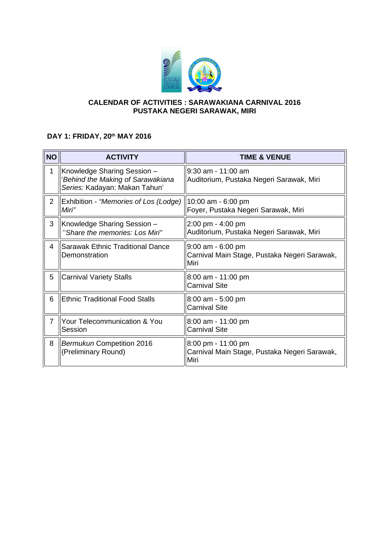

## **CALENDAR OF ACTIVITIES : SARAWAKIANA CARNIVAL 2016 PUSTAKA NEGERI SARAWAK, MIRI**

## **DAY 1: FRIDAY, 20th MAY 2016**

| <b>NO</b>      | <b>ACTIVITY</b>                                                                                   | <b>TIME &amp; VENUE</b>                                                     |
|----------------|---------------------------------------------------------------------------------------------------|-----------------------------------------------------------------------------|
| 1              | Knowledge Sharing Session -<br>'Behind the Making of Sarawakiana<br>Series: Kadayan: Makan Tahun' | $9:30$ am - 11:00 am<br>Auditorium, Pustaka Negeri Sarawak, Miri            |
| 2              | Exhibition - "Memories of Los (Lodge)<br>Miri"                                                    | 10:00 am - 6:00 pm<br>Foyer, Pustaka Negeri Sarawak, Miri                   |
| 3              | Knowledge Sharing Session -<br>"Share the memories: Los Miri"                                     | 2:00 pm - 4:00 pm<br>Auditorium, Pustaka Negeri Sarawak, Miri               |
| 4              | Sarawak Ethnic Traditional Dance<br>Demonstration                                                 | $9:00$ am - 6:00 pm<br>Carnival Main Stage, Pustaka Negeri Sarawak,<br>Miri |
| 5              | <b>Carnival Variety Stalls</b>                                                                    | 8:00 am - 11:00 pm<br><b>Carnival Site</b>                                  |
| 6              | <b>Ethnic Traditional Food Stalls</b>                                                             | 8:00 am - 5:00 pm<br><b>Carnival Site</b>                                   |
| $\overline{7}$ | <b>Your Telecommunication &amp; You</b><br>Session                                                | 8:00 am - 11:00 pm<br><b>Carnival Site</b>                                  |
| 8              | Bermukun Competition 2016<br>(Preliminary Round)                                                  | 8:00 pm - 11:00 pm<br>Carnival Main Stage, Pustaka Negeri Sarawak,<br>Miri  |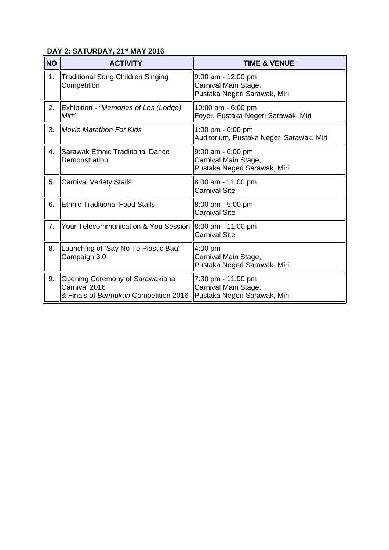## **DAY 2: SATURDAY, 21st MAY 2016**

| <b>NO</b> | <b>ACTIVITY</b>                                                                           | <b>TIME &amp; VENUE</b>                                                       |
|-----------|-------------------------------------------------------------------------------------------|-------------------------------------------------------------------------------|
| 1.        | <b>Traditional Song Children Singing</b><br>Competition                                   | $9:00$ am - 12:00 pm<br>Carnival Main Stage,<br>Pustaka Negeri Sarawak, Miri  |
| 2.        | Exhibition - "Memories of Los (Lodge)<br>Miri"                                            | 10:00 am - 6:00 pm<br>Foyer, Pustaka Negeri Sarawak, Miri                     |
| 3.        | <b>Movie Marathon For Kids</b>                                                            | 1:00 pm - 6:00 pm<br>Auditorium, Pustaka Negeri Sarawak, Miri                 |
| 4.        | <b>Sarawak Ethnic Traditional Dance</b><br>Demonstration                                  | $9:00$ am - $6:00$ pm<br>Carnival Main Stage,<br>Pustaka Negeri Sarawak, Miri |
| 5.        | <b>Carnival Variety Stalls</b>                                                            | 8:00 am - 11:00 pm<br><b>Carnival Site</b>                                    |
| 6.        | <b>Ethnic Traditional Food Stalls</b>                                                     | 8:00 am - 5:00 pm<br><b>Carnival Site</b>                                     |
| 7.        | Your Telecommunication & You Session                                                      | 8:00 am - 11:00 pm<br><b>Carnival Site</b>                                    |
| 8.        | Launching of 'Say No To Plastic Bag'<br>Campaign 3.0                                      | $4:00$ pm<br>Carnival Main Stage,<br>Pustaka Negeri Sarawak, Miri             |
| 9.        | Opening Ceremony of Sarawakiana<br>Carnival 2016<br>& Finals of Bermukun Competition 2016 | 7:30 pm - 11:00 pm<br>Carnival Main Stage,<br>Pustaka Negeri Sarawak, Miri    |